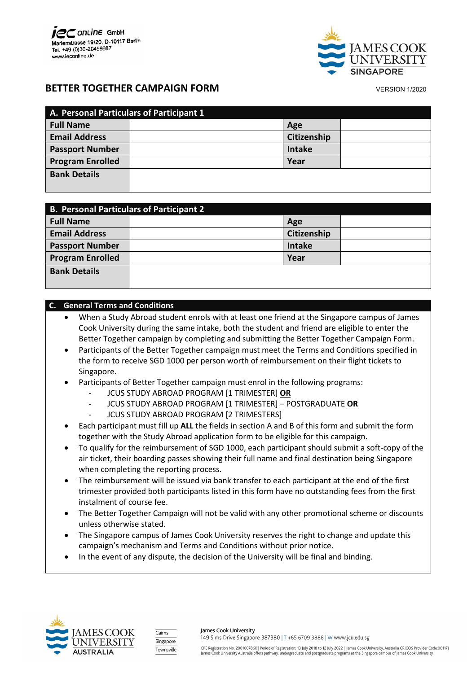

# **BETTER TOGETHER CAMPAIGN FORM**  VERSION 1/2020

| A. Personal Particulars of Participant 1 |  |               |  |  |
|------------------------------------------|--|---------------|--|--|
| <b>Full Name</b>                         |  | Age           |  |  |
| <b>Email Address</b>                     |  | Citizenship   |  |  |
| <b>Passport Number</b>                   |  | <b>Intake</b> |  |  |
| <b>Program Enrolled</b>                  |  | Year          |  |  |
| <b>Bank Details</b>                      |  |               |  |  |
|                                          |  |               |  |  |

| <b>B. Personal Particulars of Participant 2</b> |               |  |  |  |
|-------------------------------------------------|---------------|--|--|--|
| <b>Full Name</b>                                | Age           |  |  |  |
| <b>Email Address</b>                            | Citizenship   |  |  |  |
| <b>Passport Number</b>                          | <b>Intake</b> |  |  |  |
| <b>Program Enrolled</b>                         | Year          |  |  |  |
| <b>Bank Details</b>                             |               |  |  |  |

## **C. General Terms and Conditions**

- When a Study Abroad student enrols with at least one friend at the Singapore campus of James Cook University during the same intake, both the student and friend are eligible to enter the Better Together campaign by completing and submitting the Better Together Campaign Form.
- Participants of the Better Together campaign must meet the Terms and Conditions specified in the form to receive SGD 1000 per person worth of reimbursement on their flight tickets to Singapore.
- Participants of Better Together campaign must enrol in the following programs:
	- JCUS STUDY ABROAD PROGRAM [1 TRIMESTER] **OR**
	- JCUS STUDY ABROAD PROGRAM [1 TRIMESTER] POSTGRADUATE **OR**
	- JCUS STUDY ABROAD PROGRAM [2 TRIMESTERS]
- Each participant must fill up **ALL** the fields in section A and B of this form and submit the form together with the Study Abroad application form to be eligible for this campaign.
- To qualify for the reimbursement of SGD 1000, each participant should submit a soft-copy of the air ticket, their boarding passes showing their full name and final destination being Singapore when completing the reporting process.
- The reimbursement will be issued via bank transfer to each participant at the end of the first trimester provided both participants listed in this form have no outstanding fees from the first instalment of course fee.
- The Better Together Campaign will not be valid with any other promotional scheme or discounts unless otherwise stated.
- The Singapore campus of James Cook University reserves the right to change and update this campaign's mechanism and Terms and Conditions without prior notice.
- In the event of any dispute, the decision of the University will be final and binding.





James Cook University 149 Sims Drive Singapore 387380 | T +65 6709 3888 | W www.jcu.edu.sg